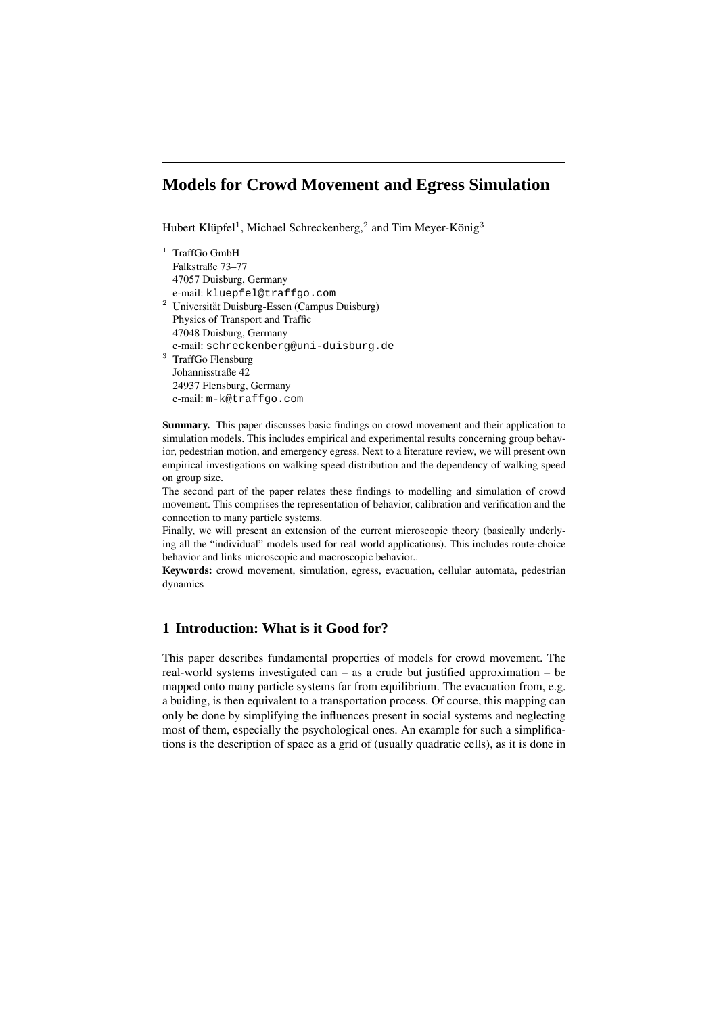# **Models for Crowd Movement and Egress Simulation**

Hubert Klüpfel<sup>1</sup>, Michael Schreckenberg,<sup>2</sup> and Tim Meyer-König<sup>3</sup>

| 1 | <b>TraffGo GmbH</b>                                       |
|---|-----------------------------------------------------------|
|   | Falkstraße 73–77                                          |
|   | 47057 Duisburg, Germany                                   |
|   | e-mail: kluepfel@traffqo.com                              |
|   | <sup>2</sup> Universität Duisburg-Essen (Campus Duisburg) |
|   | Physics of Transport and Traffic                          |
|   | 47048 Duisburg, Germany                                   |
|   | e-mail: schreckenberg@uni-duisburg.de                     |
| 3 | TraffGo Flensburg                                         |
|   | Johannisstraße 42                                         |
|   | 24937 Flensburg, Germany                                  |
|   | e-mail:m-k@traffqo.com                                    |
|   |                                                           |

**Summary.** This paper discusses basic findings on crowd movement and their application to simulation models. This includes empirical and experimental results concerning group behavior, pedestrian motion, and emergency egress. Next to a literature review, we will present own empirical investigations on walking speed distribution and the dependency of walking speed on group size.

The second part of the paper relates these findings to modelling and simulation of crowd movement. This comprises the representation of behavior, calibration and verification and the connection to many particle systems.

Finally, we will present an extension of the current microscopic theory (basically underlying all the "individual" models used for real world applications). This includes route-choice behavior and links microscopic and macroscopic behavior..

**Keywords:** crowd movement, simulation, egress, evacuation, cellular automata, pedestrian dynamics

# **1 Introduction: What is it Good for?**

This paper describes fundamental properties of models for crowd movement. The real-world systems investigated can – as a crude but justified approximation – be mapped onto many particle systems far from equilibrium. The evacuation from, e.g. a buiding, is then equivalent to a transportation process. Of course, this mapping can only be done by simplifying the influences present in social systems and neglecting most of them, especially the psychological ones. An example for such a simplifications is the description of space as a grid of (usually quadratic cells), as it is done in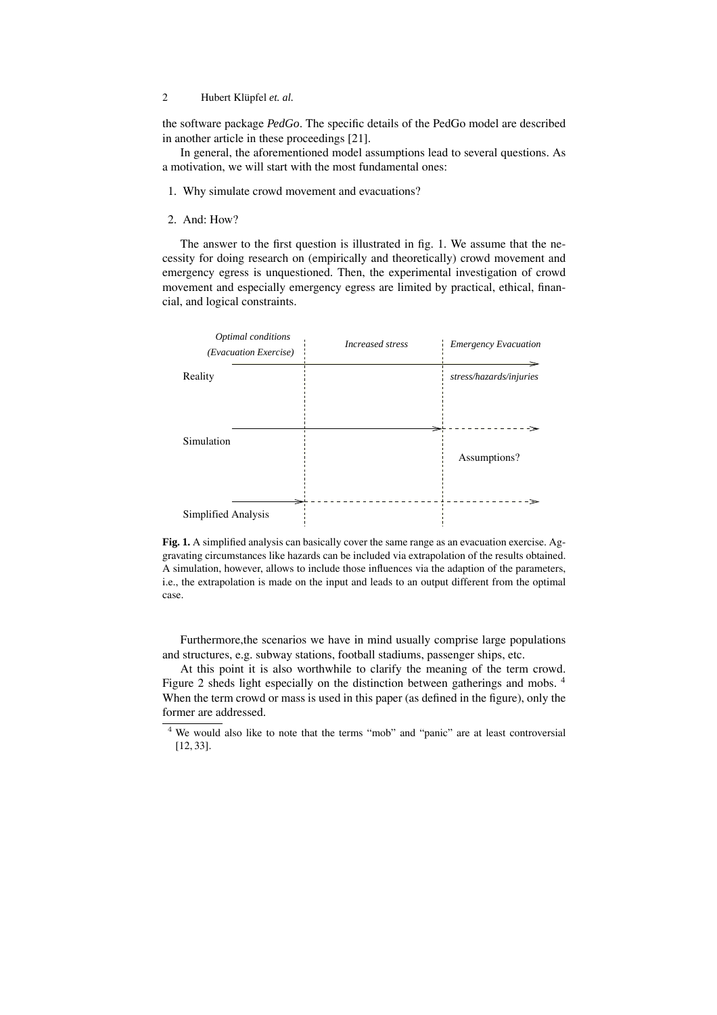the software package *PedGo*. The specific details of the PedGo model are described in another article in these proceedings [21].

In general, the aforementioned model assumptions lead to several questions. As a motivation, we will start with the most fundamental ones:

- 1. Why simulate crowd movement and evacuations?
- 2. And: How?

The answer to the first question is illustrated in fig. 1. We assume that the necessity for doing research on (empirically and theoretically) crowd movement and emergency egress is unquestioned. Then, the experimental investigation of crowd movement and especially emergency egress are limited by practical, ethical, financial, and logical constraints.



**Fig. 1.** A simplified analysis can basically cover the same range as an evacuation exercise. Aggravating circumstances like hazards can be included via extrapolation of the results obtained. A simulation, however, allows to include those influences via the adaption of the parameters, i.e., the extrapolation is made on the input and leads to an output different from the optimal case.

Furthermore,the scenarios we have in mind usually comprise large populations and structures, e.g. subway stations, football stadiums, passenger ships, etc.

At this point it is also worthwhile to clarify the meaning of the term crowd. Figure 2 sheds light especially on the distinction between gatherings and mobs. <sup>4</sup> When the term crowd or mass is used in this paper (as defined in the figure), only the former are addressed.

<sup>4</sup> We would also like to note that the terms "mob" and "panic" are at least controversial [12, 33].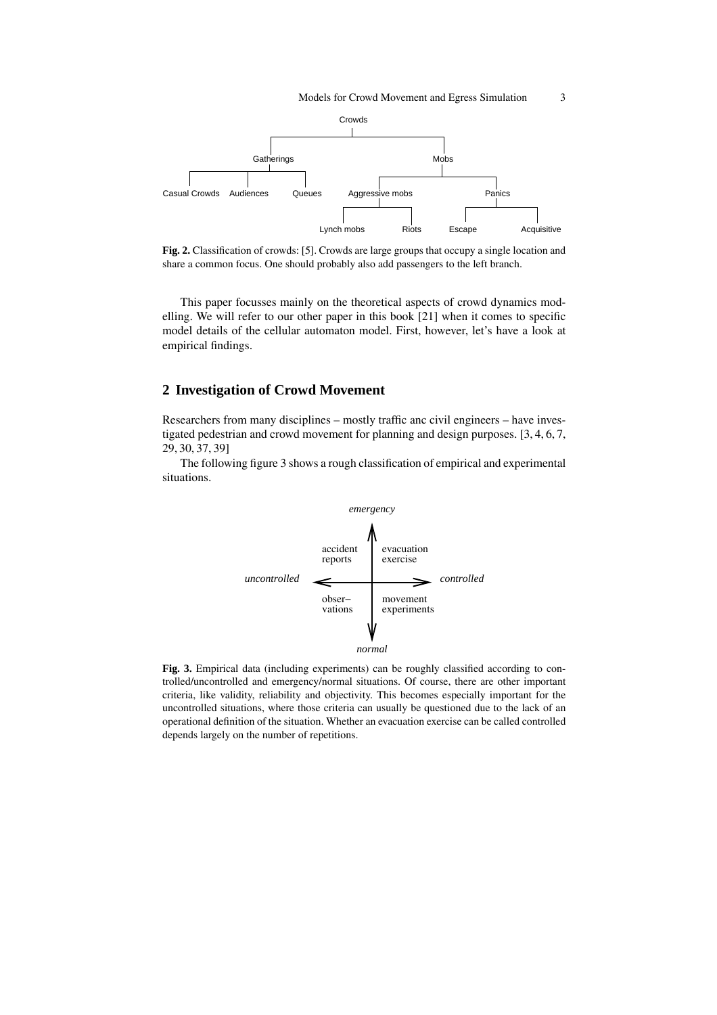

**Fig. 2.** Classification of crowds: [5]. Crowds are large groups that occupy a single location and share a common focus. One should probably also add passengers to the left branch.

This paper focusses mainly on the theoretical aspects of crowd dynamics modelling. We will refer to our other paper in this book [21] when it comes to specific model details of the cellular automaton model. First, however, let's have a look at empirical findings.

# **2 Investigation of Crowd Movement**

Researchers from many disciplines – mostly traffic anc civil engineers – have investigated pedestrian and crowd movement for planning and design purposes. [3, 4, 6, 7, 29, 30, 37, 39]

The following figure 3 shows a rough classification of empirical and experimental situations.



Fig. 3. Empirical data (including experiments) can be roughly classified according to controlled/uncontrolled and emergency/normal situations. Of course, there are other important criteria, like validity, reliability and objectivity. This becomes especially important for the uncontrolled situations, where those criteria can usually be questioned due to the lack of an operational definition of the situation. Whether an evacuation exercise can be called controlled depends largely on the number of repetitions.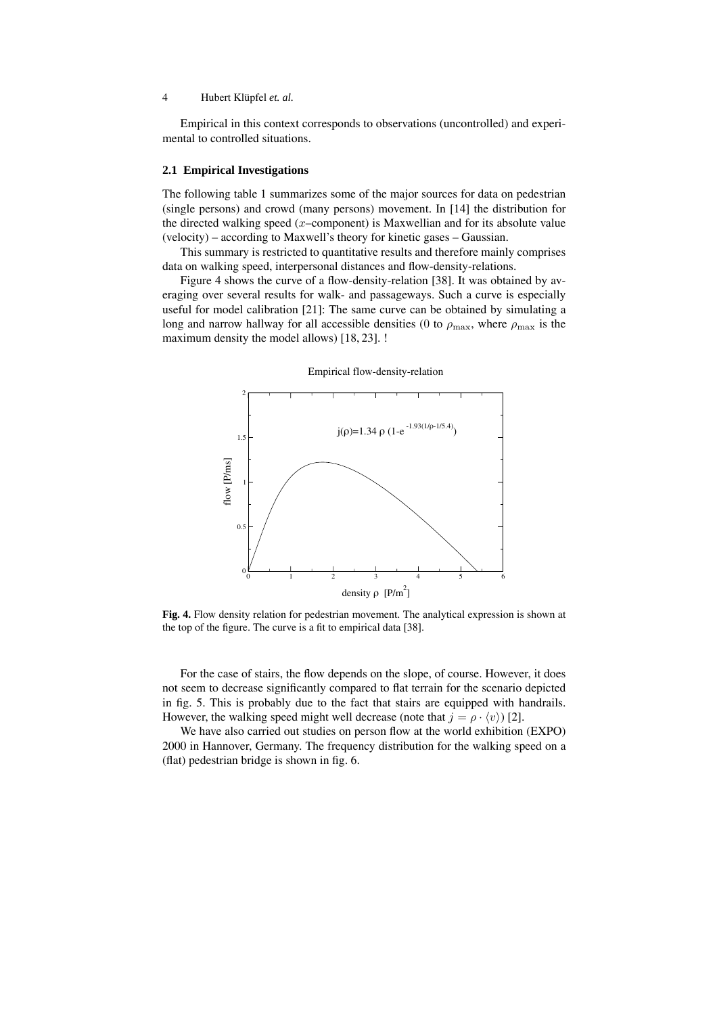Empirical in this context corresponds to observations (uncontrolled) and experimental to controlled situations.

#### **2.1 Empirical Investigations**

The following table 1 summarizes some of the major sources for data on pedestrian (single persons) and crowd (many persons) movement. In [14] the distribution for the directed walking speed  $(x$ –component) is Maxwellian and for its absolute value (velocity) – according to Maxwell's theory for kinetic gases – Gaussian.

This summary is restricted to quantitative results and therefore mainly comprises data on walking speed, interpersonal distances and flow-density-relations.

Figure 4 shows the curve of a flow-density-relation [38]. It was obtained by averaging over several results for walk- and passageways. Such a curve is especially useful for model calibration [21]: The same curve can be obtained by simulating a long and narrow hallway for all accessible densities (0 to  $\rho_{\text{max}}$ , where  $\rho_{\text{max}}$  is the maximum density the model allows) [18, 23]. !



Empirical flow-density-relation

**Fig. 4.** Flow density relation for pedestrian movement. The analytical expression is shown at the top of the figure. The curve is a fit to empirical data [38].

For the case of stairs, the flow depends on the slope, of course. However, it does not seem to decrease significantly compared to flat terrain for the scenario depicted in fig. 5. This is probably due to the fact that stairs are equipped with handrails. However, the walking speed might well decrease (note that  $j = \rho \cdot \langle v \rangle$ ) [2].

We have also carried out studies on person flow at the world exhibition (EXPO) 2000 in Hannover, Germany. The frequency distribution for the walking speed on a (flat) pedestrian bridge is shown in fig. 6.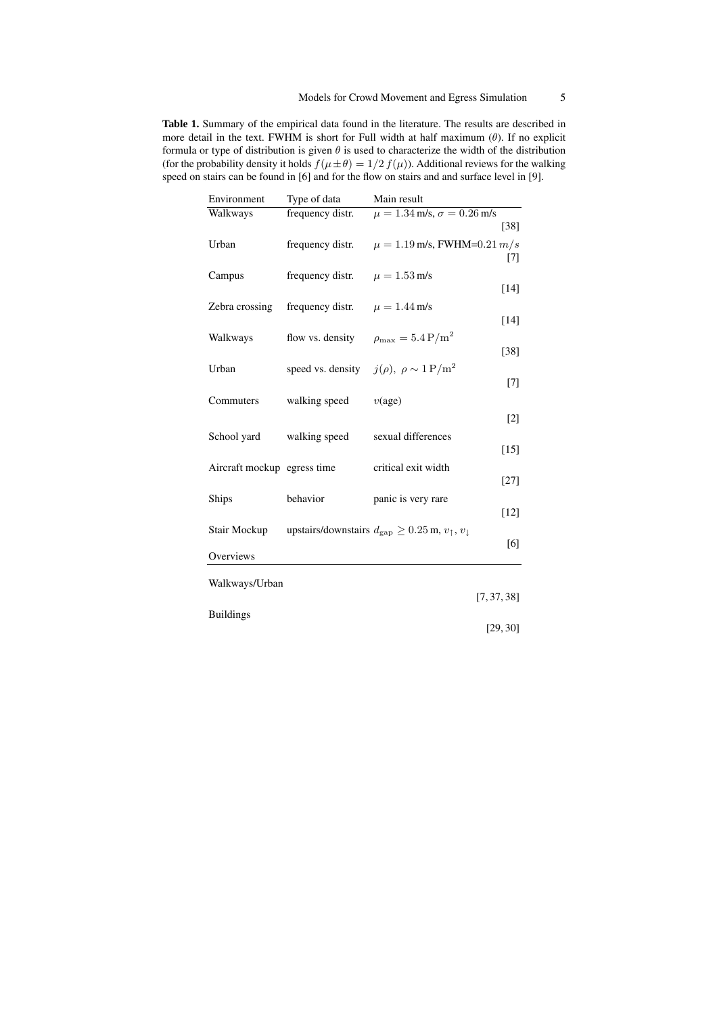**Table 1.** Summary of the empirical data found in the literature. The results are described in more detail in the text. FWHM is short for Full width at half maximum  $(\theta)$ . If no explicit formula or type of distribution is given  $\theta$  is used to characterize the width of the distribution (for the probability density it holds  $f(\mu \pm \theta)=1/2 f(\mu)$ ). Additional reviews for the walking speed on stairs can be found in [6] and for the flow on stairs and and surface level in [9].

| Environment                 | Type of data      | Main result                                                                      |
|-----------------------------|-------------------|----------------------------------------------------------------------------------|
| Walkways                    | frequency distr.  | $\mu = 1.\overline{34 \text{ m/s}}, \sigma = 0.26 \text{ m/s}$                   |
|                             |                   | $[38]$                                                                           |
| Urban                       | frequency distr.  | $\mu = 1.19$ m/s, FWHM=0.21 m/s                                                  |
|                             |                   | [7]                                                                              |
| Campus                      | frequency distr.  | $\mu = 1.53 \,\text{m/s}$                                                        |
|                             |                   | $[14]$                                                                           |
| Zebra crossing              | frequency distr.  | $\mu = 1.44 \,\rm m/s$                                                           |
|                             |                   | $[14]$                                                                           |
|                             |                   | $\rho_{\rm max} = 5.4 \,\mathrm{P/m^2}$                                          |
| Walkways                    | flow vs. density  | $[38]$                                                                           |
|                             |                   |                                                                                  |
| Urban                       | speed vs. density | $j(\rho), \ \rho \sim 1 \,\mathrm{P/m^2}$                                        |
|                             |                   | $[7]$                                                                            |
| Commuters                   | walking speed     | $v(\text{age})$                                                                  |
|                             |                   | $\lceil 2 \rceil$                                                                |
| School yard                 | walking speed     | sexual differences                                                               |
|                             |                   | $[15]$                                                                           |
| Aircraft mockup egress time |                   | critical exit width                                                              |
|                             |                   | $[27]$                                                                           |
|                             |                   |                                                                                  |
| Ships                       | behavior          | panic is very rare<br>[12]                                                       |
|                             |                   |                                                                                  |
| Stair Mockup                |                   | upstairs/downstairs $d_{\rm gap} \geq 0.25$ m, $v_{\uparrow}$ , $v_{\downarrow}$ |
|                             |                   | [6]                                                                              |
| Overviews                   |                   |                                                                                  |
| Walkways/Urban              |                   |                                                                                  |
|                             |                   | [7, 37, 38]                                                                      |
|                             |                   |                                                                                  |
| <b>Buildings</b>            |                   | [29, 30]                                                                         |
|                             |                   |                                                                                  |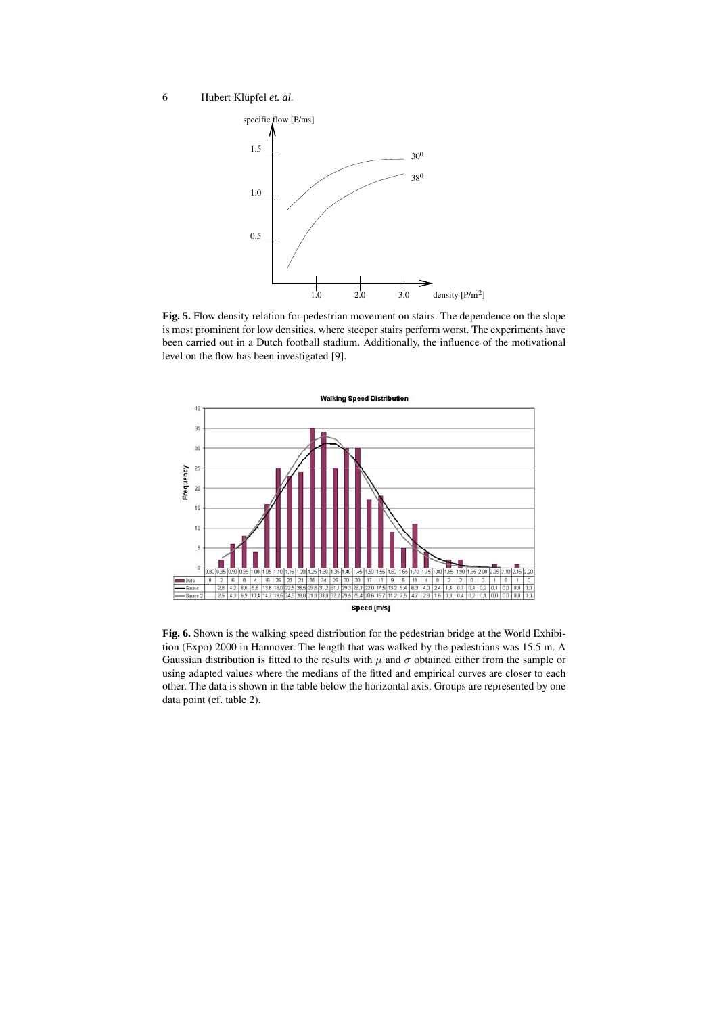

**Fig. 5.** Flow density relation for pedestrian movement on stairs. The dependence on the slope is most prominent for low densities, where steeper stairs perform worst. The experiments have been carried out in a Dutch football stadium. Additionally, the influence of the motivational level on the flow has been investigated [9].



**Fig. 6.** Shown is the walking speed distribution for the pedestrian bridge at the World Exhibition (Expo) 2000 in Hannover. The length that was walked by the pedestrians was 15.5 m. A Gaussian distribution is fitted to the results with  $\mu$  and  $\sigma$  obtained either from the sample or using adapted values where the medians of the fitted and empirical curves are closer to each other. The data is shown in the table below the horizontal axis. Groups are represented by one data point (cf. table 2).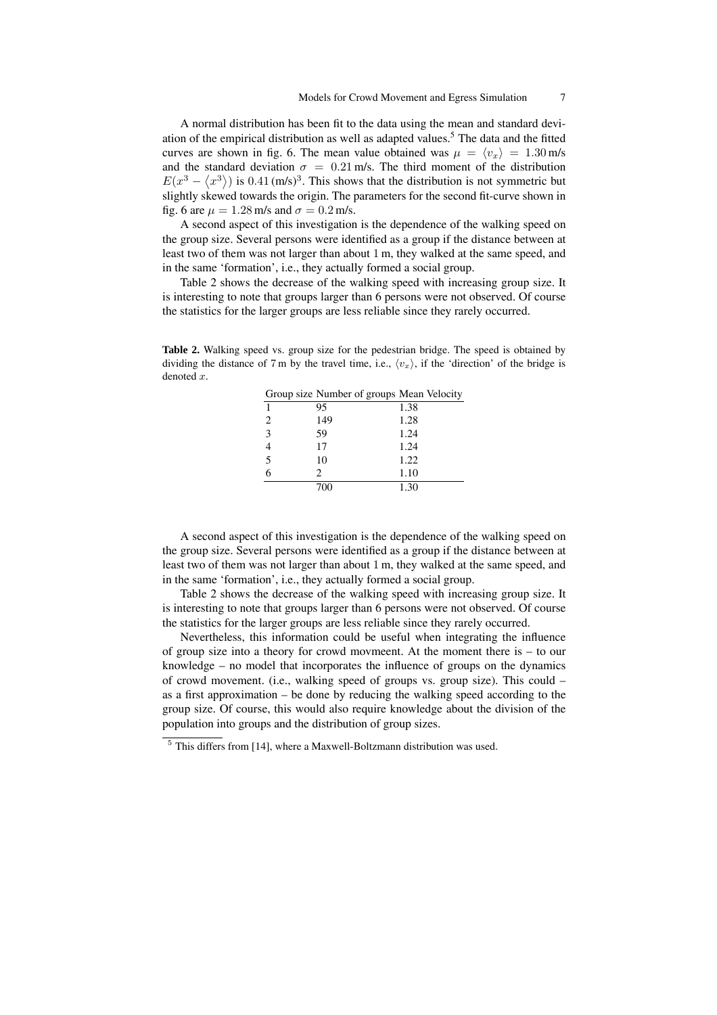A normal distribution has been fit to the data using the mean and standard deviation of the empirical distribution as well as adapted values.<sup>5</sup> The data and the fitted curves are shown in fig. 6. The mean value obtained was  $\mu = \langle v_x \rangle = 1.30 \text{ m/s}$ and the standard deviation  $\sigma = 0.21$  m/s. The third moment of the distribution  $E(x^3 - \langle x^3 \rangle)$  is 0.41 (m/s)<sup>3</sup>. This shows that the distribution is not symmetric but slightly skewed towards the origin. The parameters for the second fit-curve shown in fig. 6 are  $\mu = 1.28$  m/s and  $\sigma = 0.2$  m/s.

A second aspect of this investigation is the dependence of the walking speed on the group size. Several persons were identified as a group if the distance between at least two of them was not larger than about 1 m, they walked at the same speed, and in the same 'formation', i.e., they actually formed a social group.

Table 2 shows the decrease of the walking speed with increasing group size. It is interesting to note that groups larger than 6 persons were not observed. Of course the statistics for the larger groups are less reliable since they rarely occurred.

**Table 2.** Walking speed vs. group size for the pedestrian bridge. The speed is obtained by dividing the distance of 7 m by the travel time, i.e.,  $\langle v_x \rangle$ , if the 'direction' of the bridge is denoted  $x$ .

| Group size Number of groups Mean Velocity |     |      |  |  |
|-------------------------------------------|-----|------|--|--|
| 1                                         | 95  | 1.38 |  |  |
| 2                                         | 149 | 1.28 |  |  |
| 3                                         | 59  | 1.24 |  |  |
|                                           | 17  | 1.24 |  |  |
| 5                                         | 10  | 1.22 |  |  |
| 6                                         | 2   | 1.10 |  |  |
|                                           | 700 | 1.30 |  |  |

A second aspect of this investigation is the dependence of the walking speed on the group size. Several persons were identified as a group if the distance between at least two of them was not larger than about 1 m, they walked at the same speed, and in the same 'formation', i.e., they actually formed a social group.

Table 2 shows the decrease of the walking speed with increasing group size. It is interesting to note that groups larger than 6 persons were not observed. Of course the statistics for the larger groups are less reliable since they rarely occurred.

Nevertheless, this information could be useful when integrating the influence of group size into a theory for crowd movmeent. At the moment there is – to our knowledge – no model that incorporates the influence of groups on the dynamics of crowd movement. (i.e., walking speed of groups vs. group size). This could – as a first approximation – be done by reducing the walking speed according to the group size. Of course, this would also require knowledge about the division of the population into groups and the distribution of group sizes.

<sup>5</sup> This differs from [14], where a Maxwell-Boltzmann distribution was used.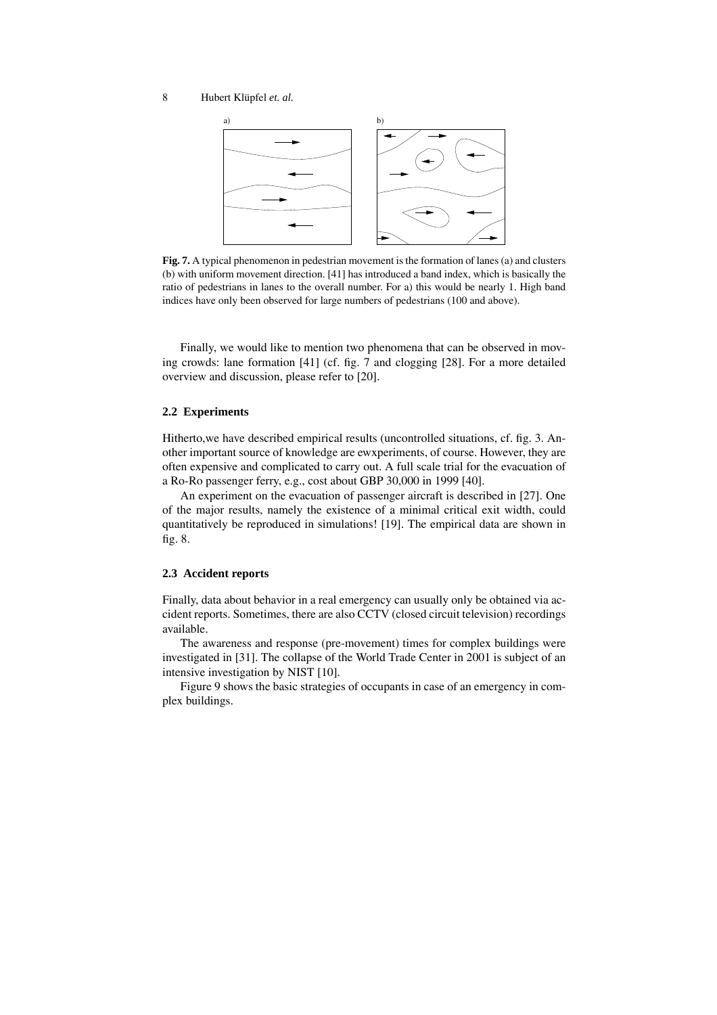

**Fig. 7.** A typical phenomenon in pedestrian movement is the formation of lanes (a) and clusters (b) with uniform movement direction. [41] has introduced a band index, which is basically the ratio of pedestrians in lanes to the overall number. For a) this would be nearly 1. High band indices have only been observed for large numbers of pedestrians (100 and above).

Finally, we would like to mention two phenomena that can be observed in moving crowds: lane formation [41] (cf. fig. 7 and clogging [28]. For a more detailed overview and discussion, please refer to [20].

#### **2.2 Experiments**

Hitherto,we have described empirical results (uncontrolled situations, cf. fig. 3. Another important source of knowledge are ewxperiments, of course. However, they are often expensive and complicated to carry out. A full scale trial for the evacuation of a Ro-Ro passenger ferry, e.g., cost about GBP 30,000 in 1999 [40].

An experiment on the evacuation of passenger aircraft is described in [27]. One of the major results, namely the existence of a minimal critical exit width, could quantitatively be reproduced in simulations! [19]. The empirical data are shown in fig. 8.

#### **2.3 Accident reports**

Finally, data about behavior in a real emergency can usually only be obtained via accident reports. Sometimes, there are also CCTV (closed circuit television) recordings available.

The awareness and response (pre-movement) times for complex buildings were investigated in [31]. The collapse of the World Trade Center in 2001 is subject of an intensive investigation by NIST [10].

Figure 9 shows the basic strategies of occupants in case of an emergency in complex buildings.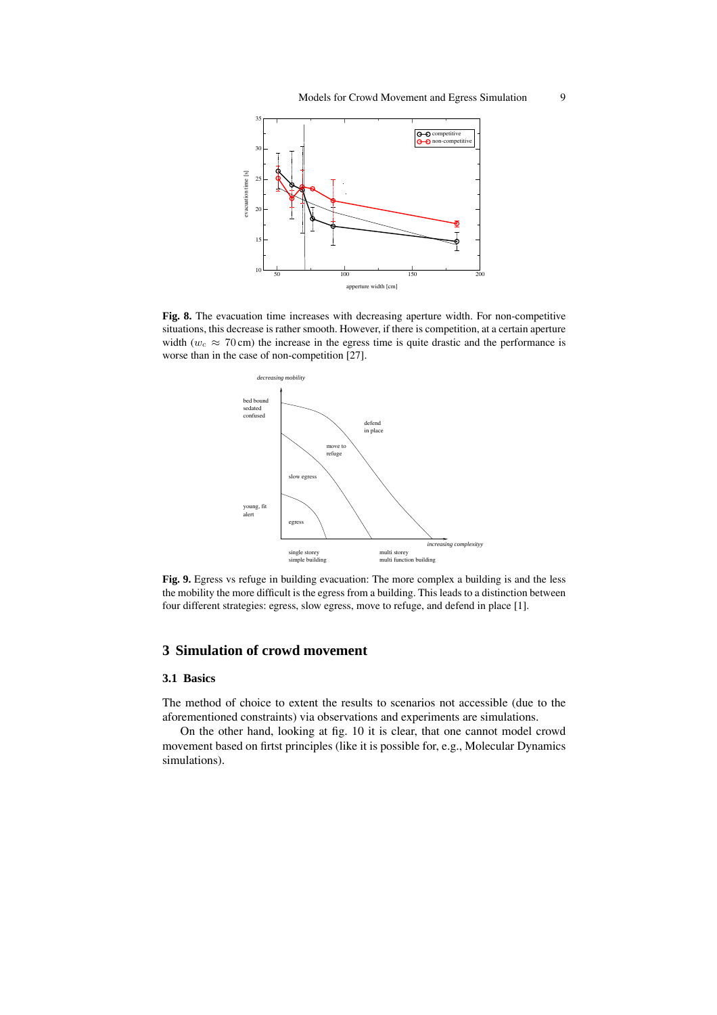

**Fig. 8.** The evacuation time increases with decreasing aperture width. For non-competitive situations, this decrease is rather smooth. However, if there is competition, at a certain aperture width ( $w_c \approx 70$  cm) the increase in the egress time is quite drastic and the performance is worse than in the case of non-competition [27].



**Fig. 9.** Egress vs refuge in building evacuation: The more complex a building is and the less the mobility the more difficult is the egress from a building. This leads to a distinction between four different strategies: egress, slow egress, move to refuge, and defend in place [1].

# **3 Simulation of crowd movement**

### **3.1 Basics**

The method of choice to extent the results to scenarios not accessible (due to the aforementioned constraints) via observations and experiments are simulations.

On the other hand, looking at fig. 10 it is clear, that one cannot model crowd movement based on firtst principles (like it is possible for, e.g., Molecular Dynamics simulations).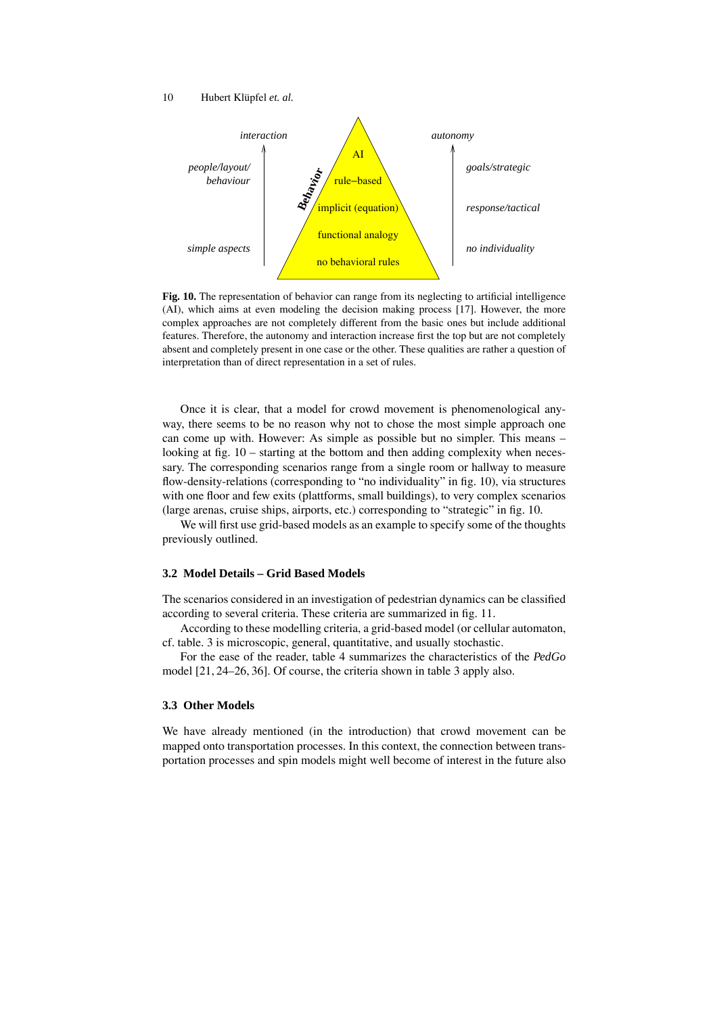

**Fig. 10.** The representation of behavior can range from its neglecting to artificial intelligence (AI), which aims at even modeling the decision making process [17]. However, the more complex approaches are not completely different from the basic ones but include additional features. Therefore, the autonomy and interaction increase first the top but are not completely absent and completely present in one case or the other. These qualities are rather a question of interpretation than of direct representation in a set of rules.

Once it is clear, that a model for crowd movement is phenomenological anyway, there seems to be no reason why not to chose the most simple approach one can come up with. However: As simple as possible but no simpler. This means – looking at fig. 10 – starting at the bottom and then adding complexity when necessary. The corresponding scenarios range from a single room or hallway to measure flow-density-relations (corresponding to "no individuality" in fig. 10), via structures with one floor and few exits (plattforms, small buildings), to very complex scenarios (large arenas, cruise ships, airports, etc.) corresponding to "strategic" in fig. 10.

We will first use grid-based models as an example to specify some of the thoughts previously outlined.

# **3.2 Model Details – Grid Based Models**

The scenarios considered in an investigation of pedestrian dynamics can be classified according to several criteria. These criteria are summarized in fig. 11.

According to these modelling criteria, a grid-based model (or cellular automaton, cf. table. 3 is microscopic, general, quantitative, and usually stochastic.

For the ease of the reader, table 4 summarizes the characteristics of the *PedGo* model [21, 24–26, 36]. Of course, the criteria shown in table 3 apply also.

## **3.3 Other Models**

We have already mentioned (in the introduction) that crowd movement can be mapped onto transportation processes. In this context, the connection between transportation processes and spin models might well become of interest in the future also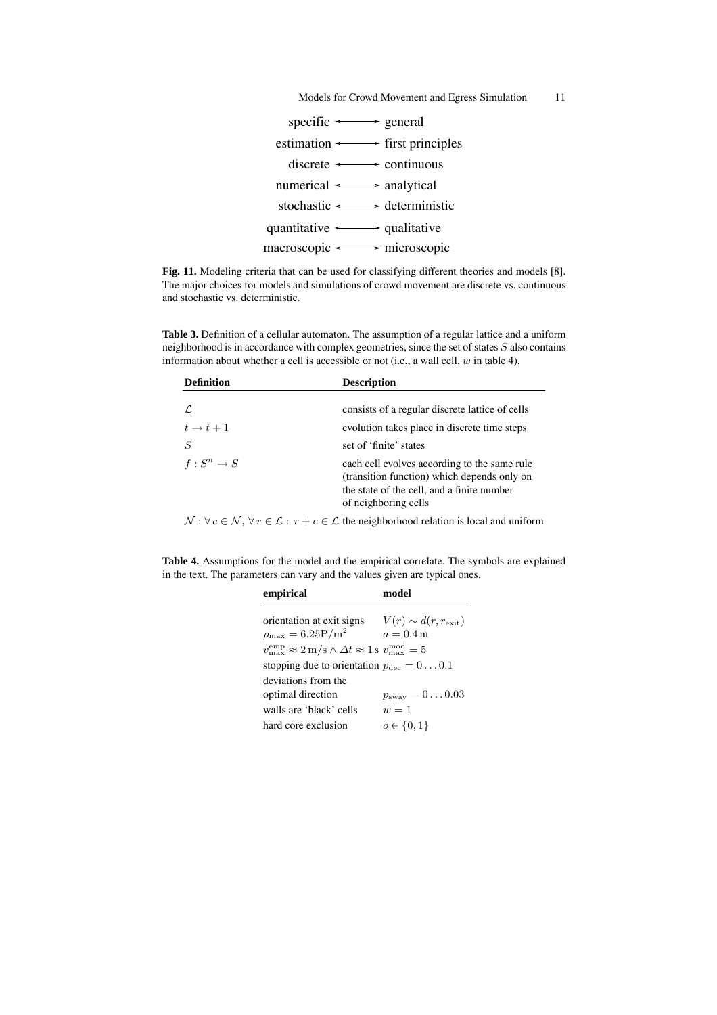

**Fig. 11.** Modeling criteria that can be used for classifying different theories and models [8]. The major choices for models and simulations of crowd movement are discrete vs. continuous and stochastic vs. deterministic.

**Table 3.** Definition of a cellular automaton. The assumption of a regular lattice and a uniform neighborhood is in accordance with complex geometries, since the set of states S also contains information about whether a cell is accessible or not (i.e., a wall cell, w in table 4).

| <b>Definition</b>   | <b>Description</b>                                                                                                                                                |
|---------------------|-------------------------------------------------------------------------------------------------------------------------------------------------------------------|
|                     | consists of a regular discrete lattice of cells                                                                                                                   |
| $t \rightarrow t+1$ | evolution takes place in discrete time steps                                                                                                                      |
| $\overline{S}$      | set of 'finite' states                                                                                                                                            |
| $f: S^n \to S$      | each cell evolves according to the same rule<br>(transition function) which depends only on<br>the state of the cell, and a finite number<br>of neighboring cells |

 $\mathcal{N}: \forall c \in \mathcal{N}, \forall r \in \mathcal{L}: r + c \in \mathcal{L}$  the neighborhood relation is local and uniform

**Table 4.** Assumptions for the model and the empirical correlate. The symbols are explained in the text. The parameters can vary and the values given are typical ones.

| empirical                                                                                                                 | model                            |
|---------------------------------------------------------------------------------------------------------------------------|----------------------------------|
|                                                                                                                           |                                  |
| orientation at exit signs                                                                                                 | $V(r) \sim d(r, r_{\rm exit})$   |
| $\rho_{\rm max} = 6.25 \text{P/m}^2$                                                                                      | $a=0.4\,\mathrm{m}$              |
| $v_{\text{max}}^{\text{emp}} \approx 2 \text{ m/s} \wedge \Delta t \approx 1 \text{ s} \ v_{\text{max}}^{\text{mod}} = 5$ |                                  |
| stopping due to orientation $p_{\text{dec}} = 0 \dots 0.1$                                                                |                                  |
| deviations from the                                                                                                       |                                  |
| optimal direction                                                                                                         | $p_{\text{sway}} = 0 \dots 0.03$ |
| walls are 'black' cells                                                                                                   | $w=1$                            |
| hard core exclusion                                                                                                       | $o \in \{0, 1\}$                 |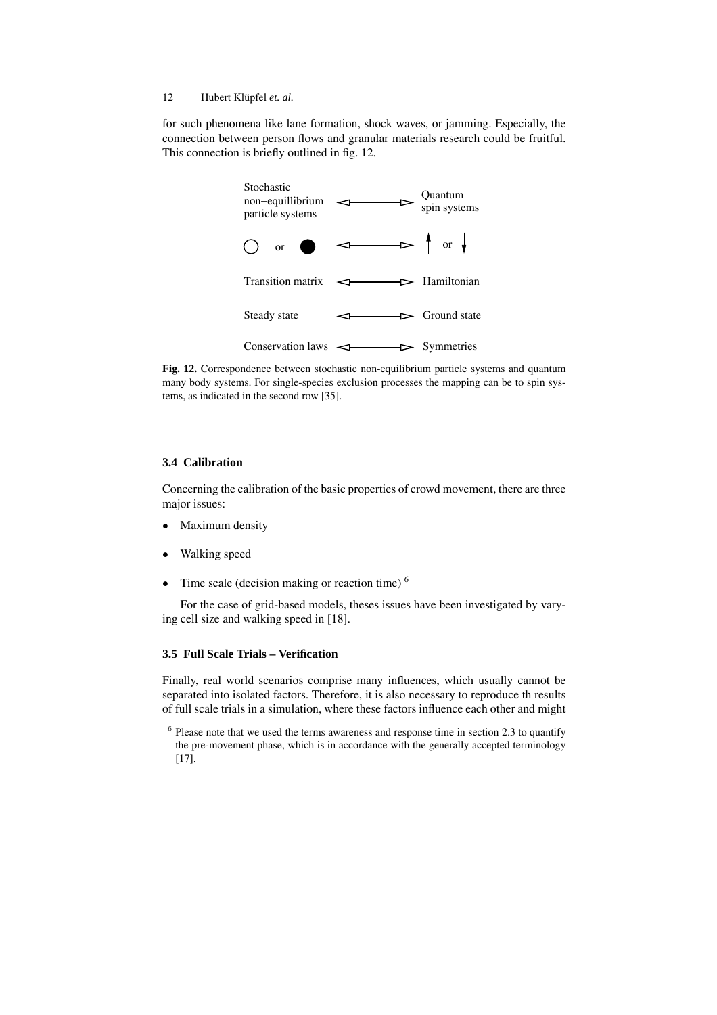for such phenomena like lane formation, shock waves, or jamming. Especially, the connection between person flows and granular materials research could be fruitful. This connection is briefly outlined in fig. 12.



**Fig. 12.** Correspondence between stochastic non-equilibrium particle systems and quantum many body systems. For single-species exclusion processes the mapping can be to spin systems, as indicated in the second row [35].

#### **3.4 Calibration**

Concerning the calibration of the basic properties of crowd movement, there are three major issues:

- Maximum density
- Walking speed
- Time scale (decision making or reaction time)  $<sup>6</sup>$ </sup>

For the case of grid-based models, theses issues have been investigated by varying cell size and walking speed in [18].

# **3.5 Full Scale Trials – Verification**

Finally, real world scenarios comprise many influences, which usually cannot be separated into isolated factors. Therefore, it is also necessary to reproduce th results of full scale trials in a simulation, where these factors influence each other and might

<sup>&</sup>lt;sup>6</sup> Please note that we used the terms awareness and response time in section 2.3 to quantify the pre-movement phase, which is in accordance with the generally accepted terminology [17].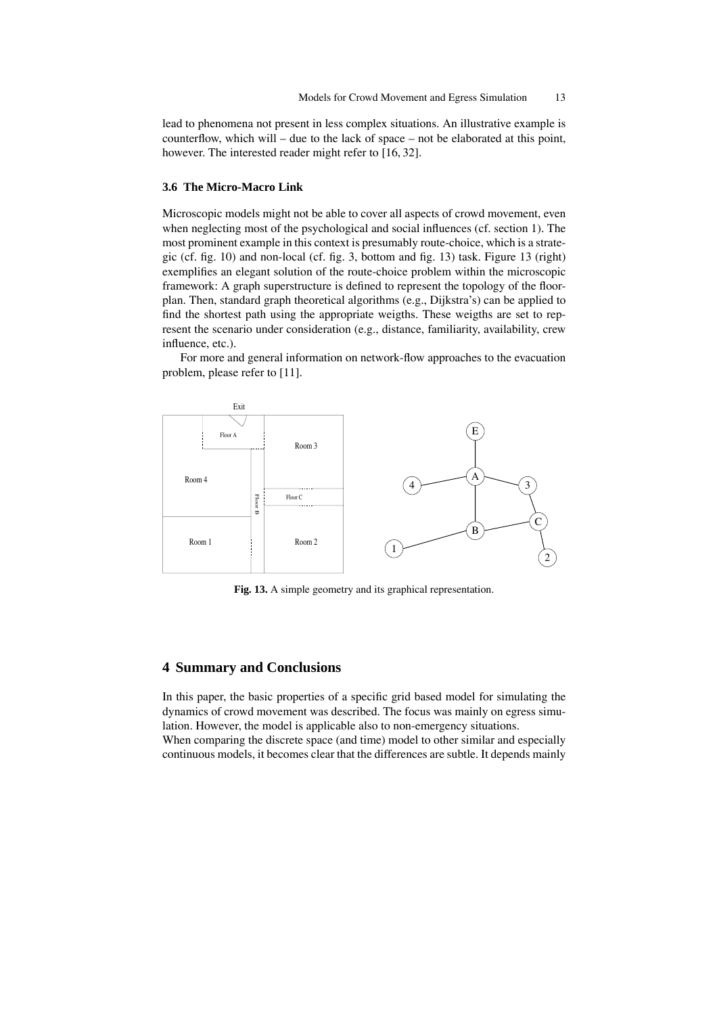lead to phenomena not present in less complex situations. An illustrative example is counterflow, which will – due to the lack of space – not be elaborated at this point, however. The interested reader might refer to [16, 32].

#### **3.6 The Micro-Macro Link**

Microscopic models might not be able to cover all aspects of crowd movement, even when neglecting most of the psychological and social influences (cf. section 1). The most prominent example in this context is presumably route-choice, which is a strategic (cf. fig. 10) and non-local (cf. fig. 3, bottom and fig. 13) task. Figure 13 (right) exemplifies an elegant solution of the route-choice problem within the microscopic framework: A graph superstructure is defined to represent the topology of the floorplan. Then, standard graph theoretical algorithms (e.g., Dijkstra's) can be applied to find the shortest path using the appropriate weigths. These weigths are set to represent the scenario under consideration (e.g., distance, familiarity, availability, crew influence, etc.).

For more and general information on network-flow approaches to the evacuation problem, please refer to [11].



**Fig. 13.** A simple geometry and its graphical representation.

# **4 Summary and Conclusions**

In this paper, the basic properties of a specific grid based model for simulating the dynamics of crowd movement was described. The focus was mainly on egress simulation. However, the model is applicable also to non-emergency situations.

When comparing the discrete space (and time) model to other similar and especially continuous models, it becomes clear that the differences are subtle. It depends mainly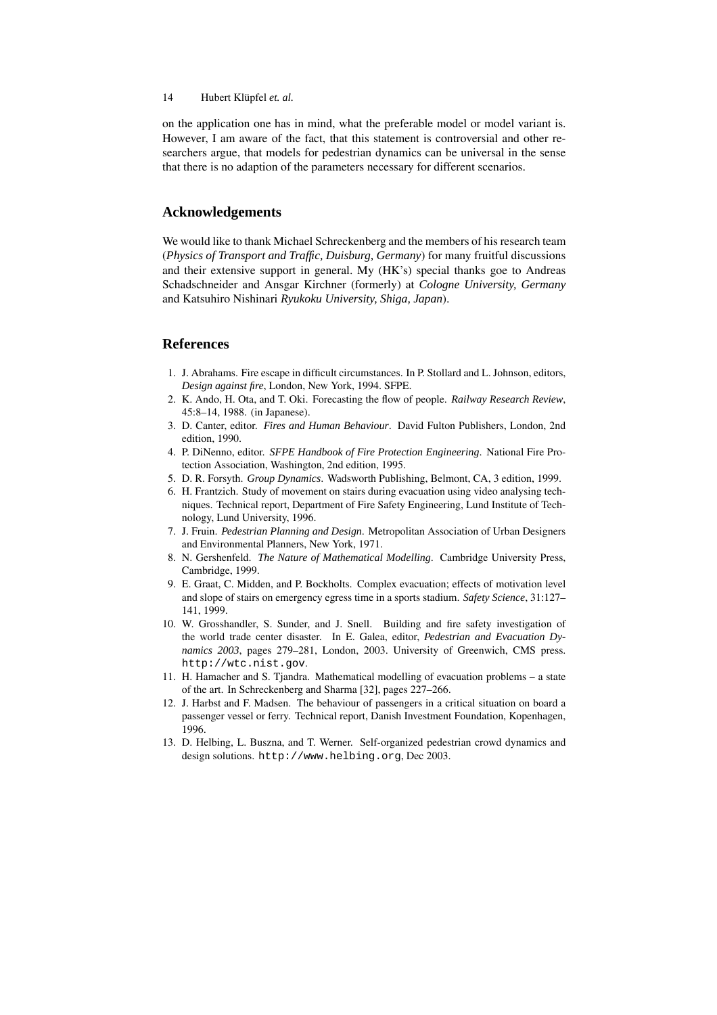on the application one has in mind, what the preferable model or model variant is. However, I am aware of the fact, that this statement is controversial and other researchers argue, that models for pedestrian dynamics can be universal in the sense that there is no adaption of the parameters necessary for different scenarios.

# **Acknowledgements**

We would like to thank Michael Schreckenberg and the members of his research team (*Physics of Transport and Traffic, Duisburg, Germany*) for many fruitful discussions and their extensive support in general. My (HK's) special thanks goe to Andreas Schadschneider and Ansgar Kirchner (formerly) at *Cologne University, Germany* and Katsuhiro Nishinari *Ryukoku University, Shiga, Japan*).

# **References**

- 1. J. Abrahams. Fire escape in difficult circumstances. In P. Stollard and L. Johnson, editors, *Design against fire*, London, New York, 1994. SFPE.
- 2. K. Ando, H. Ota, and T. Oki. Forecasting the flow of people. *Railway Research Review*, 45:8–14, 1988. (in Japanese).
- 3. D. Canter, editor. *Fires and Human Behaviour*. David Fulton Publishers, London, 2nd edition, 1990.
- 4. P. DiNenno, editor. *SFPE Handbook of Fire Protection Engineering*. National Fire Protection Association, Washington, 2nd edition, 1995.
- 5. D. R. Forsyth. *Group Dynamics*. Wadsworth Publishing, Belmont, CA, 3 edition, 1999.
- 6. H. Frantzich. Study of movement on stairs during evacuation using video analysing techniques. Technical report, Department of Fire Safety Engineering, Lund Institute of Technology, Lund University, 1996.
- 7. J. Fruin. *Pedestrian Planning and Design*. Metropolitan Association of Urban Designers and Environmental Planners, New York, 1971.
- 8. N. Gershenfeld. *The Nature of Mathematical Modelling*. Cambridge University Press, Cambridge, 1999.
- 9. E. Graat, C. Midden, and P. Bockholts. Complex evacuation; effects of motivation level and slope of stairs on emergency egress time in a sports stadium. *Safety Science*, 31:127– 141, 1999.
- 10. W. Grosshandler, S. Sunder, and J. Snell. Building and fire safety investigation of the world trade center disaster. In E. Galea, editor, *Pedestrian and Evacuation Dynamics 2003*, pages 279–281, London, 2003. University of Greenwich, CMS press. http://wtc.nist.gov.
- 11. H. Hamacher and S. Tjandra. Mathematical modelling of evacuation problems a state of the art. In Schreckenberg and Sharma [32], pages 227–266.
- 12. J. Harbst and F. Madsen. The behaviour of passengers in a critical situation on board a passenger vessel or ferry. Technical report, Danish Investment Foundation, Kopenhagen, 1996.
- 13. D. Helbing, L. Buszna, and T. Werner. Self-organized pedestrian crowd dynamics and design solutions. http://www.helbing.org, Dec 2003.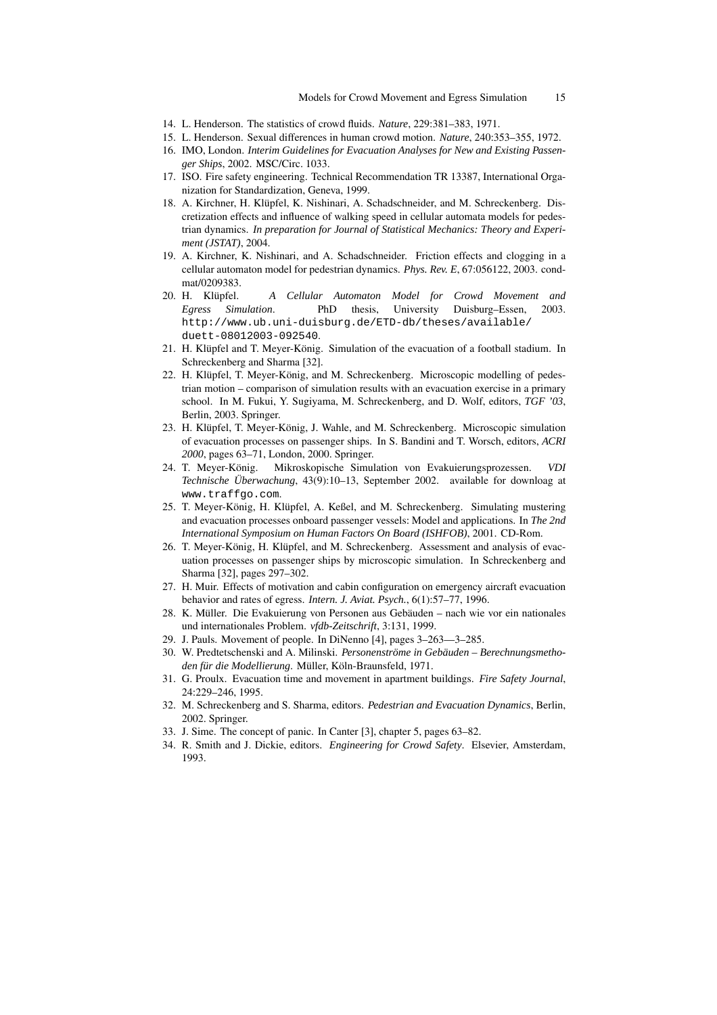- 14. L. Henderson. The statistics of crowd fluids. *Nature*, 229:381–383, 1971.
- 15. L. Henderson. Sexual differences in human crowd motion. *Nature*, 240:353–355, 1972.
- 16. IMO, London. *Interim Guidelines for Evacuation Analyses for New and Existing Passenger Ships*, 2002. MSC/Circ. 1033.
- 17. ISO. Fire safety engineering. Technical Recommendation TR 13387, International Organization for Standardization, Geneva, 1999.
- 18. A. Kirchner, H. Klüpfel, K. Nishinari, A. Schadschneider, and M. Schreckenberg. Discretization effects and influence of walking speed in cellular automata models for pedestrian dynamics. *In preparation for Journal of Statistical Mechanics: Theory and Experiment (JSTAT)*, 2004.
- 19. A. Kirchner, K. Nishinari, and A. Schadschneider. Friction effects and clogging in a cellular automaton model for pedestrian dynamics. *Phys. Rev. E*, 67:056122, 2003. condmat/0209383.
- 20. H. Klupfel. ¨ *A Cellular Automaton Model for Crowd Movement and Egress Simulation*. PhD thesis, University Duisburg–Essen, 2003. http://www.ub.uni-duisburg.de/ETD-db/theses/available/ duett-08012003-092540.
- 21. H. Klüpfel and T. Meyer-König. Simulation of the evacuation of a football stadium. In Schreckenberg and Sharma [32].
- 22. H. Klüpfel, T. Meyer-König, and M. Schreckenberg. Microscopic modelling of pedestrian motion – comparison of simulation results with an evacuation exercise in a primary school. In M. Fukui, Y. Sugiyama, M. Schreckenberg, and D. Wolf, editors, *TGF '03*, Berlin, 2003. Springer.
- 23. H. Klüpfel, T. Meyer-König, J. Wahle, and M. Schreckenberg. Microscopic simulation of evacuation processes on passenger ships. In S. Bandini and T. Worsch, editors, *ACRI 2000*, pages 63–71, London, 2000. Springer.
- 24. T. Meyer-Konig. Mikroskopische Simulation von Evakuierungsprozessen. ¨ *VDI Technische Überwachung*, 43(9):10–13, September 2002. available for downloag at www.traffgo.com.
- 25. T. Meyer-König, H. Klüpfel, A. Keßel, and M. Schreckenberg. Simulating mustering and evacuation processes onboard passenger vessels: Model and applications. In *The 2nd International Symposium on Human Factors On Board (ISHFOB)*, 2001. CD-Rom.
- 26. T. Meyer-König, H. Klüpfel, and M. Schreckenberg. Assessment and analysis of evacuation processes on passenger ships by microscopic simulation. In Schreckenberg and Sharma [32], pages 297–302.
- 27. H. Muir. Effects of motivation and cabin configuration on emergency aircraft evacuation behavior and rates of egress. *Intern. J. Aviat. Psych.*, 6(1):57–77, 1996.
- 28. K. Müller. Die Evakuierung von Personen aus Gebäuden nach wie vor ein nationales und internationales Problem. *vfdb-Zeitschrift*, 3:131, 1999.
- 29. J. Pauls. Movement of people. In DiNenno [4], pages 3–263—3–285.
- 30. W. Predtetschenski and A. Milinski. *Personenströme in Gebäuden Berechnungsmetho*den für die Modellierung. Müller, Köln-Braunsfeld, 1971.
- 31. G. Proulx. Evacuation time and movement in apartment buildings. *Fire Safety Journal*, 24:229–246, 1995.
- 32. M. Schreckenberg and S. Sharma, editors. *Pedestrian and Evacuation Dynamics*, Berlin, 2002. Springer.
- 33. J. Sime. The concept of panic. In Canter [3], chapter 5, pages 63–82.
- 34. R. Smith and J. Dickie, editors. *Engineering for Crowd Safety*. Elsevier, Amsterdam, 1993.